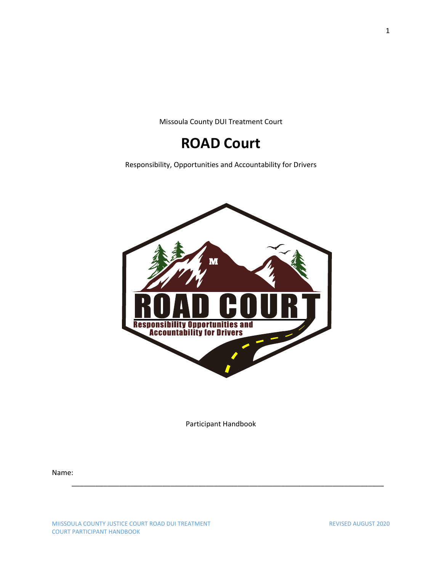Missoula County DUI Treatment Court

# **ROAD Court**

Responsibility, Opportunities and Accountability for Drivers



Participant Handbook

\_\_\_\_\_\_\_\_\_\_\_\_\_\_\_\_\_\_\_\_\_\_\_\_\_\_\_\_\_\_\_\_\_\_\_\_\_\_\_\_\_\_\_\_\_\_\_\_\_\_\_\_\_\_\_\_\_\_\_\_\_\_\_\_\_\_\_\_\_\_\_\_\_\_\_\_\_\_\_

Name: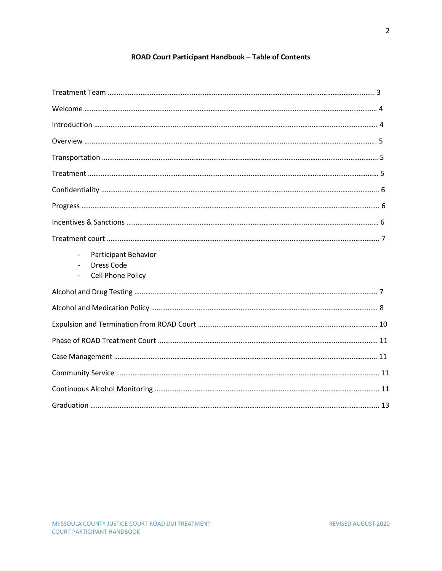# **ROAD Court Participant Handbook – Table of Contents**

| <b>Participant Behavior</b><br>$\overline{\phantom{0}}$<br><b>Dress Code</b><br>Cell Phone Policy<br>$\overline{\phantom{a}}$ |  |
|-------------------------------------------------------------------------------------------------------------------------------|--|
|                                                                                                                               |  |
|                                                                                                                               |  |
|                                                                                                                               |  |
|                                                                                                                               |  |
|                                                                                                                               |  |
|                                                                                                                               |  |
|                                                                                                                               |  |
|                                                                                                                               |  |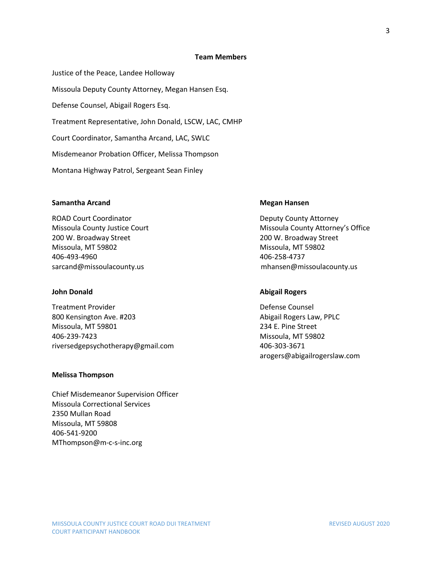#### **Team Members**

Justice of the Peace, Landee Holloway Missoula Deputy County Attorney, Megan Hansen Esq. Defense Counsel, Abigail Rogers Esq. Treatment Representative, John Donald, LSCW, LAC, CMHP Court Coordinator, Samantha Arcand, LAC, SWLC Misdemeanor Probation Officer, Melissa Thompson Montana Highway Patrol, Sergeant Sean Finley

#### **Samantha Arcand Megan Hansen** Megan Hansen

ROAD Court Coordinator **Deputy County Attorney** 200 W. Broadway Street 200 W. Broadway Street Missoula, MT 59802 Missoula, MT 59802 406-493-4960 406-258-4737

Treatment Provider **Defense Counsel** 800 Kensington Ave. #203 Abigail Rogers Law, PPLC Missoula, MT 59801 234 E. Pine Street 406-239-7423 Missoula, MT 59802 riversedgepsychotherapy@gmail.com 406-303-3671

#### **Melissa Thompson**

Chief Misdemeanor Supervision Officer Missoula Correctional Services 2350 Mullan Road Missoula, MT 59808 406-541-9200 MThompson@m-c-s-inc.org

Missoula County Justice Court **Missoula County Attorney's Office** sarcand@missoulacounty.us mhansen@missoulacounty.us

#### **John Donald Abigail Rogers**

arogers@abigailrogerslaw.com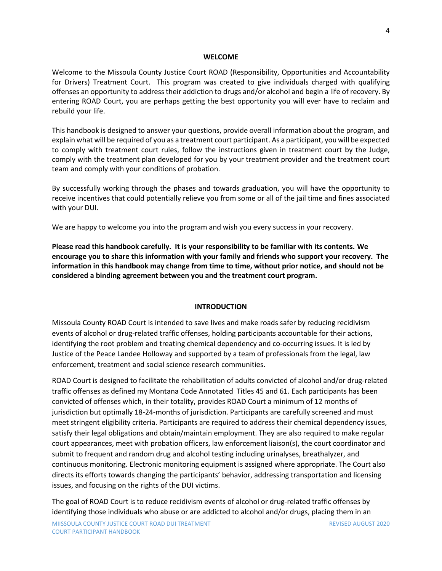#### **WELCOME**

Welcome to the Missoula County Justice Court ROAD (Responsibility, Opportunities and Accountability for Drivers) Treatment Court. This program was created to give individuals charged with qualifying offenses an opportunity to address their addiction to drugs and/or alcohol and begin a life of recovery. By entering ROAD Court, you are perhaps getting the best opportunity you will ever have to reclaim and rebuild your life.

This handbook is designed to answer your questions, provide overall information about the program, and explain what will be required of you as a treatment court participant. As a participant, you will be expected to comply with treatment court rules, follow the instructions given in treatment court by the Judge, comply with the treatment plan developed for you by your treatment provider and the treatment court team and comply with your conditions of probation.

By successfully working through the phases and towards graduation, you will have the opportunity to receive incentives that could potentially relieve you from some or all of the jail time and fines associated with your DUI.

We are happy to welcome you into the program and wish you every success in your recovery.

**Please read this handbook carefully. It is your responsibility to be familiar with its contents. We encourage you to share this information with your family and friends who support your recovery. The information in this handbook may change from time to time, without prior notice, and should not be considered a binding agreement between you and the treatment court program.**

#### **INTRODUCTION**

Missoula County ROAD Court is intended to save lives and make roads safer by reducing recidivism events of alcohol or drug-related traffic offenses, holding participants accountable for their actions, identifying the root problem and treating chemical dependency and co-occurring issues. It is led by Justice of the Peace Landee Holloway and supported by a team of professionals from the legal, law enforcement, treatment and social science research communities.

ROAD Court is designed to facilitate the rehabilitation of adults convicted of alcohol and/or drug-related traffic offenses as defined my Montana Code Annotated Titles 45 and 61. Each participants has been convicted of offenses which, in their totality, provides ROAD Court a minimum of 12 months of jurisdiction but optimally 18-24-months of jurisdiction. Participants are carefully screened and must meet stringent eligibility criteria. Participants are required to address their chemical dependency issues, satisfy their legal obligations and obtain/maintain employment. They are also required to make regular court appearances, meet with probation officers, law enforcement liaison(s), the court coordinator and submit to frequent and random drug and alcohol testing including urinalyses, breathalyzer, and continuous monitoring. Electronic monitoring equipment is assigned where appropriate. The Court also directs its efforts towards changing the participants' behavior, addressing transportation and licensing issues, and focusing on the rights of the DUI victims.

The goal of ROAD Court is to reduce recidivism events of alcohol or drug-related traffic offenses by identifying those individuals who abuse or are addicted to alcohol and/or drugs, placing them in an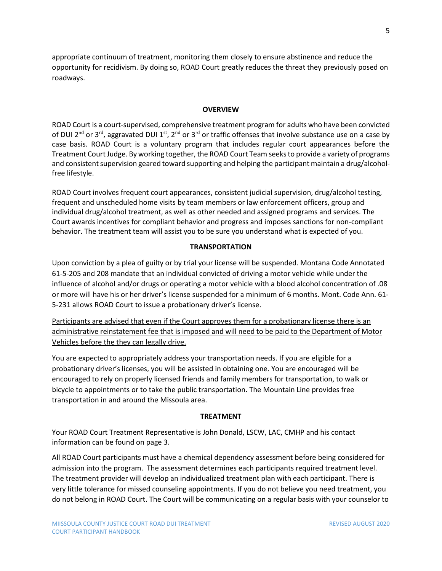appropriate continuum of treatment, monitoring them closely to ensure abstinence and reduce the opportunity for recidivism. By doing so, ROAD Court greatly reduces the threat they previously posed on roadways.

#### **OVERVIEW**

ROAD Court is a court-supervised, comprehensive treatment program for adults who have been convicted of DUI 2<sup>nd</sup> or 3<sup>rd</sup>, aggravated DUI 1<sup>st</sup>, 2<sup>nd</sup> or 3<sup>rd</sup> or traffic offenses that involve substance use on a case by case basis. ROAD Court is a voluntary program that includes regular court appearances before the Treatment Court Judge. By working together, the ROAD Court Team seeksto provide a variety of programs and consistent supervision geared toward supporting and helping the participant maintain a drug/alcoholfree lifestyle.

ROAD Court involves frequent court appearances, consistent judicial supervision, drug/alcohol testing, frequent and unscheduled home visits by team members or law enforcement officers, group and individual drug/alcohol treatment, as well as other needed and assigned programs and services. The Court awards incentives for compliant behavior and progress and imposes sanctions for non-compliant behavior. The treatment team will assist you to be sure you understand what is expected of you.

#### **TRANSPORTATION**

Upon conviction by a plea of guilty or by trial your license will be suspended. Montana Code Annotated 61-5-205 and 208 mandate that an individual convicted of driving a motor vehicle while under the influence of alcohol and/or drugs or operating a motor vehicle with a blood alcohol concentration of .08 or more will have his or her driver's license suspended for a minimum of 6 months. Mont. Code Ann. 61- 5-231 allows ROAD Court to issue a probationary driver's license.

Participants are advised that even if the Court approves them for a probationary license there is an administrative reinstatement fee that is imposed and will need to be paid to the Department of Motor Vehicles before the they can legally drive.

You are expected to appropriately address your transportation needs. If you are eligible for a probationary driver's licenses, you will be assisted in obtaining one. You are encouraged will be encouraged to rely on properly licensed friends and family members for transportation, to walk or bicycle to appointments or to take the public transportation. The Mountain Line provides free transportation in and around the Missoula area.

#### **TREATMENT**

Your ROAD Court Treatment Representative is John Donald, LSCW, LAC, CMHP and his contact information can be found on page 3.

All ROAD Court participants must have a chemical dependency assessment before being considered for admission into the program. The assessment determines each participants required treatment level. The treatment provider will develop an individualized treatment plan with each participant. There is very little tolerance for missed counseling appointments. If you do not believe you need treatment, you do not belong in ROAD Court. The Court will be communicating on a regular basis with your counselor to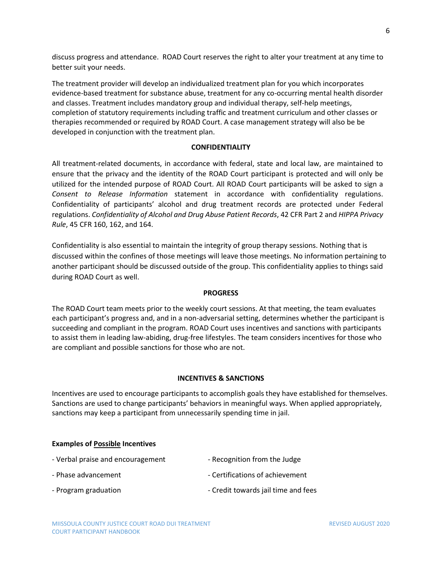discuss progress and attendance. ROAD Court reserves the right to alter your treatment at any time to better suit your needs.

The treatment provider will develop an individualized treatment plan for you which incorporates evidence-based treatment for substance abuse, treatment for any co-occurring mental health disorder and classes. Treatment includes mandatory group and individual therapy, self-help meetings, completion of statutory requirements including traffic and treatment curriculum and other classes or therapies recommended or required by ROAD Court. A case management strategy will also be be developed in conjunction with the treatment plan.

#### **CONFIDENTIALITY**

All treatment-related documents, in accordance with federal, state and local law, are maintained to ensure that the privacy and the identity of the ROAD Court participant is protected and will only be utilized for the intended purpose of ROAD Court. All ROAD Court participants will be asked to sign a *Consent to Release Information* statement in accordance with confidentiality regulations. Confidentiality of participants' alcohol and drug treatment records are protected under Federal regulations. *Confidentiality of Alcohol and Drug Abuse Patient Records*, 42 CFR Part 2 and *HIPPA Privacy Rule*, 45 CFR 160, 162, and 164.

Confidentiality is also essential to maintain the integrity of group therapy sessions. Nothing that is discussed within the confines of those meetings will leave those meetings. No information pertaining to another participant should be discussed outside of the group. This confidentiality applies to things said during ROAD Court as well.

#### **PROGRESS**

The ROAD Court team meets prior to the weekly court sessions. At that meeting, the team evaluates each participant's progress and, and in a non-adversarial setting, determines whether the participant is succeeding and compliant in the program. ROAD Court uses incentives and sanctions with participants to assist them in leading law-abiding, drug-free lifestyles. The team considers incentives for those who are compliant and possible sanctions for those who are not.

#### **INCENTIVES & SANCTIONS**

Incentives are used to encourage participants to accomplish goals they have established for themselves. Sanctions are used to change participants' behaviors in meaningful ways. When applied appropriately, sanctions may keep a participant from unnecessarily spending time in jail.

#### **Examples of Possible Incentives**

| - Verbal praise and encouragement | - Recognition from the Judge        |
|-----------------------------------|-------------------------------------|
| - Phase advancement               | - Certifications of achievement     |
| - Program graduation              | - Credit towards jail time and fees |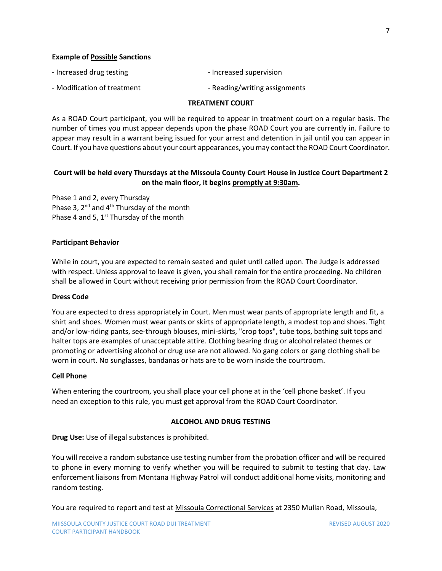#### **Example of Possible Sanctions**

| - Increased drug testing | - Increased supervision |
|--------------------------|-------------------------|
| $\blacksquare$           |                         |

- Modification of treatment Theorem Controller Reading/writing assignments

#### **TREATMENT COURT**

As a ROAD Court participant, you will be required to appear in treatment court on a regular basis. The number of times you must appear depends upon the phase ROAD Court you are currently in*.* Failure to appear may result in a warrant being issued for your arrest and detention in jail until you can appear in Court. If you have questions about your court appearances, you may contact the ROAD Court Coordinator.

### **Court will be held every Thursdays at the Missoula County Court House in Justice Court Department 2 on the main floor, it begins promptly at 9:30am.**

Phase 1 and 2, every Thursday Phase 3, 2<sup>nd</sup> and 4<sup>th</sup> Thursday of the month Phase 4 and 5,  $1<sup>st</sup>$  Thursday of the month

#### **Participant Behavior**

While in court, you are expected to remain seated and quiet until called upon. The Judge is addressed with respect. Unless approval to leave is given, you shall remain for the entire proceeding. No children shall be allowed in Court without receiving prior permission from the ROAD Court Coordinator.

#### **Dress Code**

You are expected to dress appropriately in Court. Men must wear pants of appropriate length and fit, a shirt and shoes. Women must wear pants or skirts of appropriate length, a modest top and shoes. Tight and/or low-riding pants, see-through blouses, mini-skirts, "crop tops", tube tops, bathing suit tops and halter tops are examples of unacceptable attire. Clothing bearing drug or alcohol related themes or promoting or advertising alcohol or drug use are not allowed. No gang colors or gang clothing shall be worn in court. No sunglasses, bandanas or hats are to be worn inside the courtroom.

#### **Cell Phone**

When entering the courtroom, you shall place your cell phone at in the 'cell phone basket'. If you need an exception to this rule, you must get approval from the ROAD Court Coordinator.

#### **ALCOHOL AND DRUG TESTING**

**Drug Use:** Use of illegal substances is prohibited.

You will receive a random substance use testing number from the probation officer and will be required to phone in every morning to verify whether you will be required to submit to testing that day. Law enforcement liaisons from Montana Highway Patrol will conduct additional home visits, monitoring and random testing.

You are required to report and test at Missoula Correctional Services at 2350 Mullan Road, Missoula,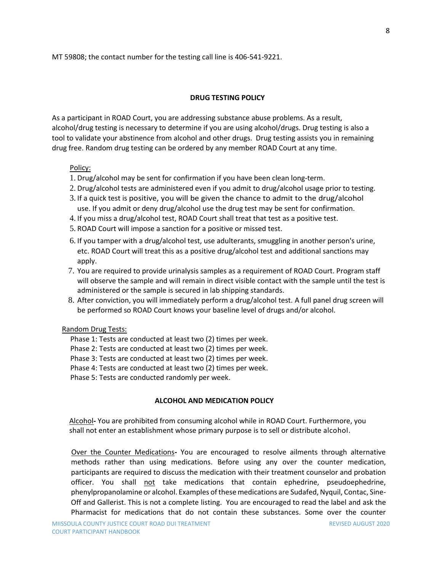MT 59808; the contact number for the testing call line is 406-541-9221.

#### **DRUG TESTING POLICY**

As a participant in ROAD Court, you are addressing substance abuse problems. As a result, alcohol/drug testing is necessary to determine if you are using alcohol/drugs. Drug testing is also a tool to validate your abstinence from alcohol and other drugs. Drug testing assists you in remaining drug free. Random drug testing can be ordered by any member ROAD Court at any time.

#### Policy:

- 1. Drug/alcohol may be sent for confirmation if you have been clean long-term.
- 2. Drug/alcohol tests are administered even if you admit to drug/alcohol usage prior to testing.
- 3. If a quick test is positive, you will be given the chance to admit to the drug/alcohol use. If you admit or deny drug/alcohol use the drug test may be sent for confirmation.
- 4. If you miss a drug/alcohol test, ROAD Court shall treat that test as a positive test.
- 5. ROAD Court will impose a sanction for a positive or missed test.
- 6. If you tamper with a drug/alcohol test, use adulterants, smuggling in another person's urine, etc. ROAD Court will treat this as a positive drug/alcohol test and additional sanctions may apply.
- 7. You are required to provide urinalysis samples as a requirement of ROAD Court. Program staff will observe the sample and will remain in direct visible contact with the sample until the test is administered or the sample is secured in lab shipping standards.
- 8. After conviction, you will immediately perform a drug/alcohol test. A full panel drug screen will be performed so ROAD Court knows your baseline level of drugs and/or alcohol.

#### Random Drug Tests:

- Phase 1: Tests are conducted at least two (2) times per week.
- Phase 2: Tests are conducted at least two (2) times per week.
- Phase 3: Tests are conducted at least two (2) times per week.
- Phase 4: Tests are conducted at least two (2) times per week.
- Phase 5: Tests are conducted randomly per week.

#### **ALCOHOL AND MEDICATION POLICY**

Alcohol**-** You are prohibited from consuming alcohol while in ROAD Court. Furthermore, you shall not enter an establishment whose primary purpose is to sell or distribute alcohol.

Over the Counter Medications**-** You are encouraged to resolve ailments through alternative methods rather than using medications. Before using any over the counter medication, participants are required to discuss the medication with their treatment counselor and probation officer. You shall not take medications that contain ephedrine, pseudoephedrine, phenylpropanolamine or alcohol. Examples of these medications are Sudafed, Nyquil, Contac, Sine-Off and Gallerist. This is not a complete listing. You are encouraged to read the label and ask the Pharmacist for medications that do not contain these substances. Some over the counter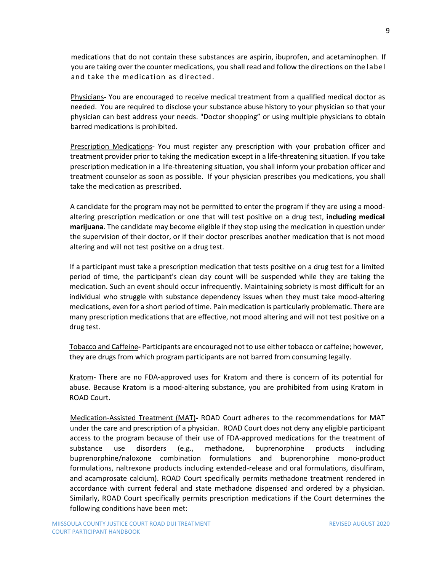medications that do not contain these substances are aspirin, ibuprofen, and acetaminophen. If you are taking over the counter medications, you shall read and follow the directions on the label and take the medication as directed.

Physicians**-** You are encouraged to receive medical treatment from a qualified medical doctor as needed. You are required to disclose your substance abuse history to your physician so that your physician can best address your needs. "Doctor shopping" or using multiple physicians to obtain barred medications is prohibited.

Prescription Medications**-** You must register any prescription with your probation officer and treatment provider prior to taking the medication except in a life-threatening situation. If you take prescription medication in a life-threatening situation, you shall inform your probation officer and treatment counselor as soon as possible. If your physician prescribes you medications, you shall take the medication as prescribed.

A candidate for the program may not be permitted to enter the program if they are using a moodaltering prescription medication or one that will test positive on a drug test, **including medical marijuana**. The candidate may become eligible if they stop using the medication in question under the supervision of their doctor, or if their doctor prescribes another medication that is not mood altering and will not test positive on a drug test.

If a participant must take a prescription medication that tests positive on a drug test for a limited period of time, the participant's clean day count will be suspended while they are taking the medication. Such an event should occur infrequently. Maintaining sobriety is most difficult for an individual who struggle with substance dependency issues when they must take mood-altering medications, even for a short period of time. Pain medication is particularly problematic. There are many prescription medications that are effective, not mood altering and will not test positive on a drug test.

Tobacco and Caffeine**-** Participants are encouraged not to use either tobacco or caffeine; however, they are drugs from which program participants are not barred from consuming legally.

Kratom- [There are no FDA-approved uses for Kratom](https://www.fda.gov/newsevents/publichealthfocus/ucm584952.htm) and there is concern of its potential for abuse. Because Kratom is a mood-altering substance, you are prohibited from using Kratom in ROAD Court.

Medication-Assisted Treatment (MAT)**-** ROAD Court adheres to the recommendations for MAT under the care and prescription of a physician. ROAD Court does not deny any eligible participant access to the program because of their use of FDA-approved medications for the treatment of substance use disorders (e.g., methadone, buprenorphine products including buprenorphine/naloxone combination formulations and buprenorphine mono-product formulations, naltrexone products including extended-release and oral formulations, disulfiram, and acamprosate calcium). ROAD Court specifically permits methadone treatment rendered in accordance with current federal and state methadone dispensed and ordered by a physician. Similarly, ROAD Court specifically permits prescription medications if the Court determines the following conditions have been met: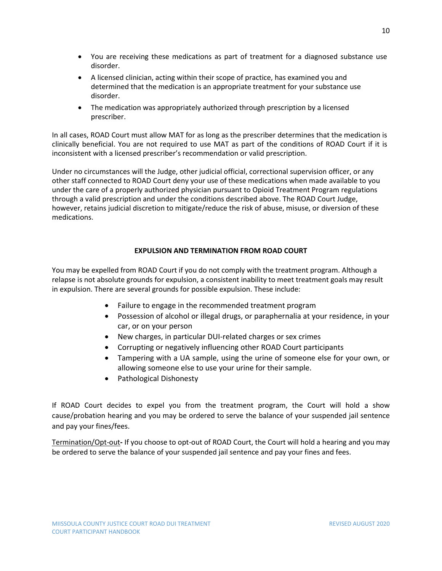- You are receiving these medications as part of treatment for a diagnosed substance use disorder.
- A licensed clinician, acting within their scope of practice, has examined you and determined that the medication is an appropriate treatment for your substance use disorder.
- The medication was appropriately authorized through prescription by a licensed prescriber.

In all cases, ROAD Court must allow MAT for as long as the prescriber determines that the medication is clinically beneficial. You are not required to use MAT as part of the conditions of ROAD Court if it is inconsistent with a licensed prescriber's recommendation or valid prescription.

Under no circumstances will the Judge, other judicial official, correctional supervision officer, or any other staff connected to ROAD Court deny your use of these medications when made available to you under the care of a properly authorized physician pursuant to Opioid Treatment Program regulations through a valid prescription and under the conditions described above. The ROAD Court Judge, however, retains judicial discretion to mitigate/reduce the risk of abuse, misuse, or diversion of these medications.

## **EXPULSION AND TERMINATION FROM ROAD COURT**

You may be expelled from ROAD Court if you do not comply with the treatment program. Although a relapse is not absolute grounds for expulsion, a consistent inability to meet treatment goals may result in expulsion. There are several grounds for possible expulsion. These include:

- Failure to engage in the recommended treatment program
- Possession of alcohol or illegal drugs, or paraphernalia at your residence, in your car, or on your person
- New charges, in particular DUI-related charges or sex crimes
- Corrupting or negatively influencing other ROAD Court participants
- Tampering with a UA sample, using the urine of someone else for your own, or allowing someone else to use your urine for their sample.
- Pathological Dishonesty

If ROAD Court decides to expel you from the treatment program, the Court will hold a show cause/probation hearing and you may be ordered to serve the balance of your suspended jail sentence and pay your fines/fees.

Termination/Opt-out**-** If you choose to opt-out of ROAD Court, the Court will hold a hearing and you may be ordered to serve the balance of your suspended jail sentence and pay your fines and fees.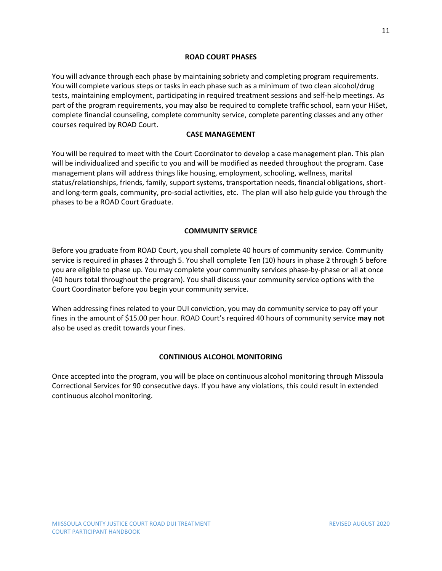#### **ROAD COURT PHASES**

You will advance through each phase by maintaining sobriety and completing program requirements. You will complete various steps or tasks in each phase such as a minimum of two clean alcohol/drug tests, maintaining employment, participating in required treatment sessions and self-help meetings. As part of the program requirements, you may also be required to complete traffic school, earn your HiSet, complete financial counseling, complete community service, complete parenting classes and any other courses required by ROAD Court.

### **CASE MANAGEMENT**

You will be required to meet with the Court Coordinator to develop a case management plan. This plan will be individualized and specific to you and will be modified as needed throughout the program. Case management plans will address things like housing, employment, schooling, wellness, marital status/relationships, friends, family, support systems, transportation needs, financial obligations, shortand long-term goals, community, pro-social activities, etc. The plan will also help guide you through the phases to be a ROAD Court Graduate.

#### **COMMUNITY SERVICE**

Before you graduate from ROAD Court, you shall complete 40 hours of community service. Community service is required in phases 2 through 5. You shall complete Ten (10) hours in phase 2 through 5 before you are eligible to phase up. You may complete your community services phase-by-phase or all at once (40 hours total throughout the program). You shall discuss your community service options with the Court Coordinator before you begin your community service.

When addressing fines related to your DUI conviction, you may do community service to pay off your fines in the amount of \$15.00 per hour. ROAD Court's required 40 hours of community service **may not** also be used as credit towards your fines.

### **CONTINIOUS ALCOHOL MONITORING**

Once accepted into the program, you will be place on continuous alcohol monitoring through Missoula Correctional Services for 90 consecutive days. If you have any violations, this could result in extended continuous alcohol monitoring.

11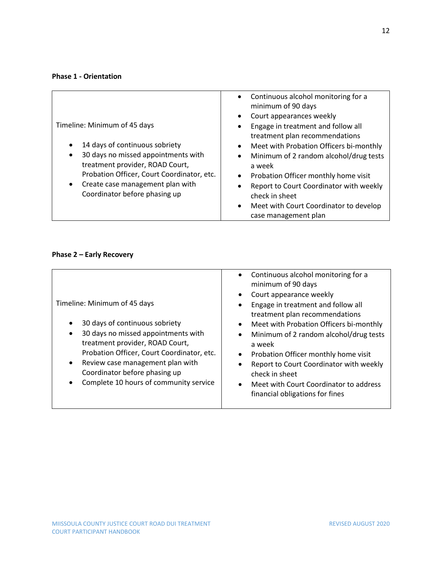### **Phase 1 - Orientation**

| Timeline: Minimum of 45 days<br>14 days of continuous sobriety<br>30 days no missed appointments with | Continuous alcohol monitoring for a<br>$\bullet$<br>minimum of 90 days<br>Court appearances weekly<br>٠<br>Engage in treatment and follow all<br>٠<br>treatment plan recommendations<br>Meet with Probation Officers bi-monthly<br>$\bullet$<br>Minimum of 2 random alcohol/drug tests<br>$\bullet$ |
|-------------------------------------------------------------------------------------------------------|-----------------------------------------------------------------------------------------------------------------------------------------------------------------------------------------------------------------------------------------------------------------------------------------------------|
| treatment provider, ROAD Court,<br>Probation Officer, Court Coordinator, etc.                         | a week<br>Probation Officer monthly home visit<br>٠                                                                                                                                                                                                                                                 |
| Create case management plan with<br>Coordinator before phasing up                                     | Report to Court Coordinator with weekly<br>check in sheet                                                                                                                                                                                                                                           |
|                                                                                                       | Meet with Court Coordinator to develop<br>$\bullet$<br>case management plan                                                                                                                                                                                                                         |

# **Phase 2 – Early Recovery**

| Court appearance weekly<br>$\bullet$<br>Timeline: Minimum of 45 days<br>30 days of continuous sobriety<br>$\bullet$<br>30 days no missed appointments with<br>$\bullet$<br>treatment provider, ROAD Court,<br>a week<br>Probation Officer, Court Coordinator, etc.<br>Review case management plan with<br>$\bullet$<br>Coordinator before phasing up<br>Complete 10 hours of community service<br>٠ | Engage in treatment and follow all<br>treatment plan recommendations<br>Meet with Probation Officers bi-monthly<br>Minimum of 2 random alcohol/drug tests<br>Probation Officer monthly home visit<br>Report to Court Coordinator with weekly<br>check in sheet<br>Meet with Court Coordinator to address<br>financial obligations for fines |
|-----------------------------------------------------------------------------------------------------------------------------------------------------------------------------------------------------------------------------------------------------------------------------------------------------------------------------------------------------------------------------------------------------|---------------------------------------------------------------------------------------------------------------------------------------------------------------------------------------------------------------------------------------------------------------------------------------------------------------------------------------------|
|-----------------------------------------------------------------------------------------------------------------------------------------------------------------------------------------------------------------------------------------------------------------------------------------------------------------------------------------------------------------------------------------------------|---------------------------------------------------------------------------------------------------------------------------------------------------------------------------------------------------------------------------------------------------------------------------------------------------------------------------------------------|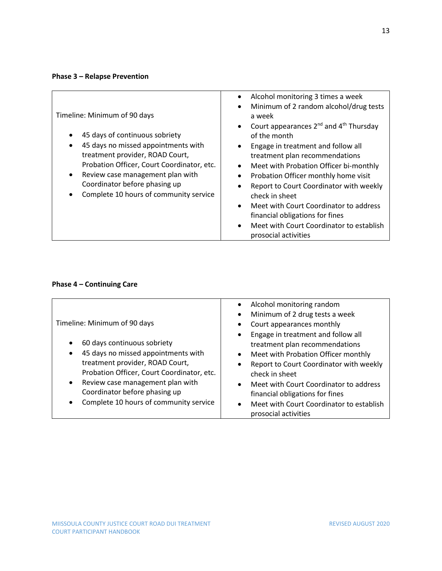# **Phase 3 – Relapse Prevention**

| Timeline: Minimum of 90 days<br>45 days of continuous sobriety<br>45 days no missed appointments with<br>treatment provider, ROAD Court,<br>Probation Officer, Court Coordinator, etc.<br>Review case management plan with<br>$\bullet$<br>Coordinator before phasing up<br>Complete 10 hours of community service | Alcohol monitoring 3 times a week<br>$\bullet$<br>Minimum of 2 random alcohol/drug tests<br>$\bullet$<br>a week<br>Court appearances 2 <sup>nd</sup> and 4 <sup>th</sup> Thursday<br>$\bullet$<br>of the month<br>Engage in treatment and follow all<br>$\bullet$<br>treatment plan recommendations<br>Meet with Probation Officer bi-monthly<br>٠<br>Probation Officer monthly home visit<br>$\bullet$<br>Report to Court Coordinator with weekly<br>check in sheet<br>Meet with Court Coordinator to address<br>$\bullet$<br>financial obligations for fines<br>Meet with Court Coordinator to establish<br>$\bullet$<br>prosocial activities |
|--------------------------------------------------------------------------------------------------------------------------------------------------------------------------------------------------------------------------------------------------------------------------------------------------------------------|-------------------------------------------------------------------------------------------------------------------------------------------------------------------------------------------------------------------------------------------------------------------------------------------------------------------------------------------------------------------------------------------------------------------------------------------------------------------------------------------------------------------------------------------------------------------------------------------------------------------------------------------------|
|--------------------------------------------------------------------------------------------------------------------------------------------------------------------------------------------------------------------------------------------------------------------------------------------------------------------|-------------------------------------------------------------------------------------------------------------------------------------------------------------------------------------------------------------------------------------------------------------------------------------------------------------------------------------------------------------------------------------------------------------------------------------------------------------------------------------------------------------------------------------------------------------------------------------------------------------------------------------------------|

# **Phase 4 – Continuing Care**